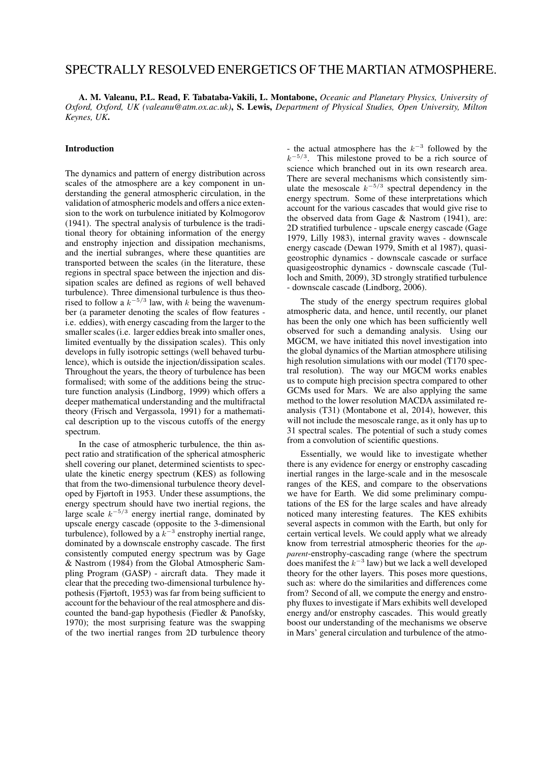# SPECTRALLY RESOLVED ENERGETICS OF THE MARTIAN ATMOSPHERE.

A. M. Valeanu, P.L. Read, F. Tabataba-Vakili, L. Montabone, *Oceanic and Planetary Physics, University of Oxford, Oxford, UK (valeanu@atm.ox.ac.uk)*, S. Lewis, *Department of Physical Studies, Open University, Milton Keynes, UK*.

# Introduction

The dynamics and pattern of energy distribution across scales of the atmosphere are a key component in understanding the general atmospheric circulation, in the validation of atmospheric models and offers a nice extension to the work on turbulence initiated by Kolmogorov (1941). The spectral analysis of turbulence is the traditional theory for obtaining information of the energy and enstrophy injection and dissipation mechanisms, and the inertial subranges, where these quantities are transported between the scales (in the literature, these regions in spectral space between the injection and dissipation scales are defined as regions of well behaved turbulence). Three dimensional turbulence is thus theorised to follow a  $k^{-5/3}$  law, with k being the wavenumber (a parameter denoting the scales of flow features i.e. eddies), with energy cascading from the larger to the smaller scales (i.e. larger eddies break into smaller ones, limited eventually by the dissipation scales). This only develops in fully isotropic settings (well behaved turbulence), which is outside the injection/dissipation scales. Throughout the years, the theory of turbulence has been formalised; with some of the additions being the structure function analysis (Lindborg, 1999) which offers a deeper mathematical understanding and the multifractal theory (Frisch and Vergassola, 1991) for a mathematical description up to the viscous cutoffs of the energy spectrum.

In the case of atmospheric turbulence, the thin aspect ratio and stratification of the spherical atmospheric shell covering our planet, determined scientists to speculate the kinetic energy spectrum (KES) as following that from the two-dimensional turbulence theory developed by Fjørtoft in 1953. Under these assumptions, the energy spectrum should have two inertial regions, the large scale  $k^{-5/3}$  energy inertial range, dominated by upscale energy cascade (opposite to the 3-dimensional turbulence), followed by a  $k^{-3}$  enstrophy inertial range, dominated by a downscale enstrophy cascade. The first consistently computed energy spectrum was by Gage & Nastrom (1984) from the Global Atmospheric Sampling Program (GASP) - aircraft data. They made it clear that the preceding two-dimensional turbulence hypothesis (Fjørtoft, 1953) was far from being sufficient to account for the behaviour of the real atmosphere and discounted the band-gap hypothesis (Fiedler & Panofsky, 1970); the most surprising feature was the swapping of the two inertial ranges from 2D turbulence theory

- the actual atmosphere has the  $k^{-3}$  followed by the  $k^{-5/3}$ . This milestone proved to be a rich source of science which branched out in its own research area. There are several mechanisms which consistently simulate the mesoscale  $k^{-5/3}$  spectral dependency in the energy spectrum. Some of these interpretations which account for the various cascades that would give rise to the observed data from Gage & Nastrom (1941), are: 2D stratified turbulence - upscale energy cascade (Gage 1979, Lilly 1983), internal gravity waves - downscale energy cascade (Dewan 1979, Smith et al 1987), quasigeostrophic dynamics - downscale cascade or surface quasigeostrophic dynamics - downscale cascade (Tulloch and Smith, 2009), 3D strongly stratified turbulence - downscale cascade (Lindborg, 2006).

The study of the energy spectrum requires global atmospheric data, and hence, until recently, our planet has been the only one which has been sufficiently well observed for such a demanding analysis. Using our MGCM, we have initiated this novel investigation into the global dynamics of the Martian atmosphere utilising high resolution simulations with our model (T170 spectral resolution). The way our MGCM works enables us to compute high precision spectra compared to other GCMs used for Mars. We are also applying the same method to the lower resolution MACDA assimilated reanalysis (T31) (Montabone et al, 2014), however, this will not include the mesoscale range, as it only has up to 31 spectral scales. The potential of such a study comes from a convolution of scientific questions.

Essentially, we would like to investigate whether there is any evidence for energy or enstrophy cascading inertial ranges in the large-scale and in the mesoscale ranges of the KES, and compare to the observations we have for Earth. We did some preliminary computations of the ES for the large scales and have already noticed many interesting features. The KES exhibits several aspects in common with the Earth, but only for certain vertical levels. We could apply what we already know from terrestrial atmospheric theories for the *apparent*-enstrophy-cascading range (where the spectrum does manifest the  $k^{-3}$  law) but we lack a well developed theory for the other layers. This poses more questions, such as: where do the similarities and differences come from? Second of all, we compute the energy and enstrophy fluxes to investigate if Mars exhibits well developed energy and/or enstrophy cascades. This would greatly boost our understanding of the mechanisms we observe in Mars' general circulation and turbulence of the atmo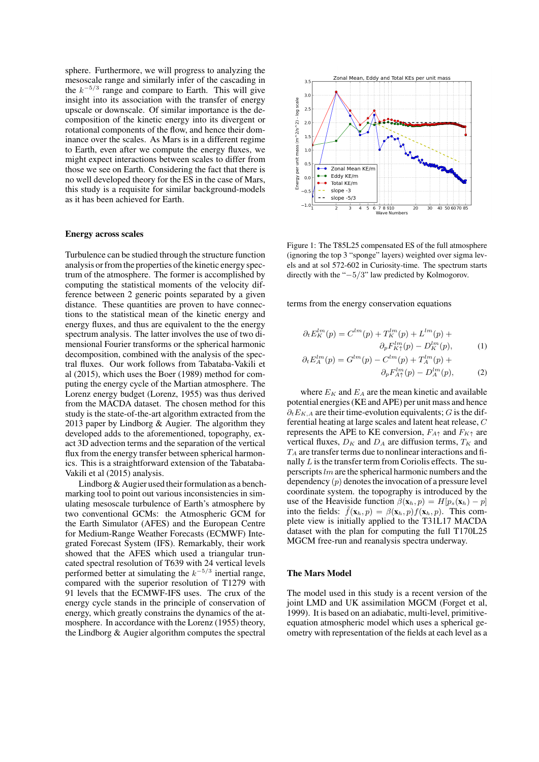sphere. Furthermore, we will progress to analyzing the mesoscale range and similarly infer of the cascading in the  $k^{-5/3}$  range and compare to Earth. This will give insight into its association with the transfer of energy upscale or downscale. Of similar importance is the decomposition of the kinetic energy into its divergent or rotational components of the flow, and hence their dominance over the scales. As Mars is in a different regime to Earth, even after we compute the energy fluxes, we might expect interactions between scales to differ from those we see on Earth. Considering the fact that there is no well developed theory for the ES in the case of Mars, this study is a requisite for similar background-models as it has been achieved for Earth.

#### Energy across scales

Turbulence can be studied through the structure function analysis or from the properties of the kinetic energy spectrum of the atmosphere. The former is accomplished by computing the statistical moments of the velocity difference between 2 generic points separated by a given distance. These quantities are proven to have connections to the statistical mean of the kinetic energy and energy fluxes, and thus are equivalent to the the energy spectrum analysis. The latter involves the use of two dimensional Fourier transforms or the spherical harmonic decomposition, combined with the analysis of the spectral fluxes. Our work follows from Tabataba-Vakili et al (2015), which uses the Boer (1989) method for computing the energy cycle of the Martian atmosphere. The Lorenz energy budget (Lorenz, 1955) was thus derived from the MACDA dataset. The chosen method for this study is the state-of-the-art algorithm extracted from the 2013 paper by Lindborg & Augier. The algorithm they developed adds to the aforementioned, topography, exact 3D advection terms and the separation of the vertical flux from the energy transfer between spherical harmonics. This is a straightforward extension of the Tabataba-Vakili et al (2015) analysis.

Lindborg & Augier used their formulation as a benchmarking tool to point out various inconsistencies in simulating mesoscale turbulence of Earth's atmosphere by two conventional GCMs: the Atmospheric GCM for the Earth Simulator (AFES) and the European Centre for Medium-Range Weather Forecasts (ECMWF) Integrated Forecast System (IFS). Remarkably, their work showed that the AFES which used a triangular truncated spectral resolution of T639 with 24 vertical levels performed better at simulating the  $k^{-5/3}$  inertial range, compared with the superior resolution of T1279 with 91 levels that the ECMWF-IFS uses. The crux of the energy cycle stands in the principle of conservation of energy, which greatly constrains the dynamics of the atmosphere. In accordance with the Lorenz (1955) theory, the Lindborg & Augier algorithm computes the spectral



Figure 1: The T85L25 compensated ES of the full atmosphere (ignoring the top 3 "sponge" layers) weighted over sigma levels and at sol 572-602 in Curiosity-time. The spectrum starts directly with the "−5/3" law predicted by Kolmogorov.

terms from the energy conservation equations

$$
\partial_t E_K^{lm}(p) = C^{lm}(p) + T_K^{lm}(p) + L^{lm}(p) + \n\partial_p F_{K\uparrow}^{lm}(p) - D_K^{lm}(p),
$$
\n(1)

$$
\partial_t E_A^{lm}(p) = G^{lm}(p) - C^{lm}(p) + T_A^{lm}(p) + \n\partial_p F_{A\uparrow}^{lm}(p) - D_A^{lm}(p),
$$
\n(2)

where  $E_K$  and  $E_A$  are the mean kinetic and available potential energies (KE and APE) per unit mass and hence  $\partial_t E_{K,A}$  are their time-evolution equivalents; G is the differential heating at large scales and latent heat release, C represents the APE to KE conversion,  $F_{A\uparrow}$  and  $F_{K\uparrow}$  are vertical fluxes,  $D_K$  and  $D_A$  are diffusion terms,  $T_K$  and  $T_A$  are transfer terms due to nonlinear interactions and finally L is the transfer term from Coriolis effects. The superscripts  $lm$  are the spherical harmonic numbers and the dependency  $(p)$  denotes the invocation of a pressure level coordinate system. the topography is introduced by the use of the Heaviside function  $\beta(\mathbf{x}_h, p) = H[p_s(\mathbf{x}_h) - p]$ into the fields:  $\bar{f}(\mathbf{x}_h, p) = \beta(\mathbf{x}_h, p) f(\mathbf{x}_h, p)$ . This complete view is initially applied to the T31L17 MACDA dataset with the plan for computing the full T170L25 MGCM free-run and reanalysis spectra underway.

### The Mars Model

The model used in this study is a recent version of the joint LMD and UK assimilation MGCM (Forget et al, 1999). It is based on an adiabatic, multi-level, primitiveequation atmospheric model which uses a spherical geometry with representation of the fields at each level as a